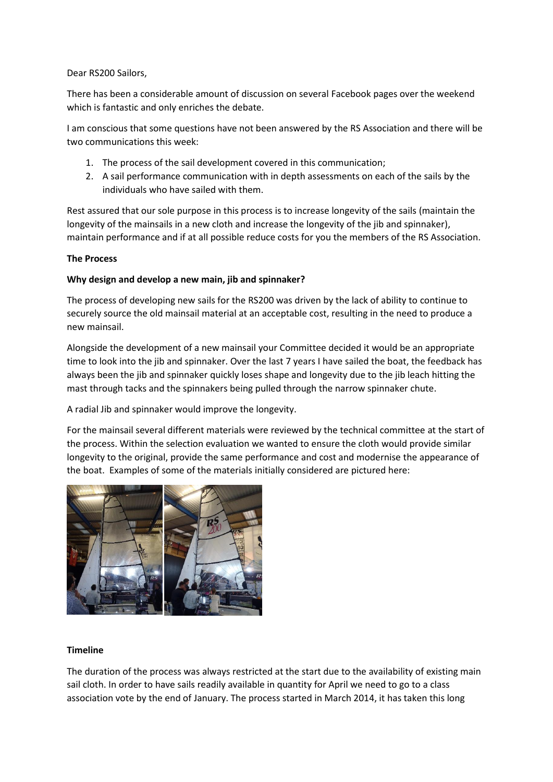Dear RS200 Sailors,

There has been a considerable amount of discussion on several Facebook pages over the weekend which is fantastic and only enriches the debate.

I am conscious that some questions have not been answered by the RS Association and there will be two communications this week:

- 1. The process of the sail development covered in this communication;
- 2. A sail performance communication with in depth assessments on each of the sails by the individuals who have sailed with them.

Rest assured that our sole purpose in this process is to increase longevity of the sails (maintain the longevity of the mainsails in a new cloth and increase the longevity of the jib and spinnaker), maintain performance and if at all possible reduce costs for you the members of the RS Association.

# **The Process**

# **Why design and develop a new main, jib and spinnaker?**

The process of developing new sails for the RS200 was driven by the lack of ability to continue to securely source the old mainsail material at an acceptable cost, resulting in the need to produce a new mainsail.

Alongside the development of a new mainsail your Committee decided it would be an appropriate time to look into the jib and spinnaker. Over the last 7 years I have sailed the boat, the feedback has always been the jib and spinnaker quickly loses shape and longevity due to the jib leach hitting the mast through tacks and the spinnakers being pulled through the narrow spinnaker chute.

A radial Jib and spinnaker would improve the longevity.

For the mainsail several different materials were reviewed by the technical committee at the start of the process. Within the selection evaluation we wanted to ensure the cloth would provide similar longevity to the original, provide the same performance and cost and modernise the appearance of the boat. Examples of some of the materials initially considered are pictured here:



## **Timeline**

The duration of the process was always restricted at the start due to the availability of existing main sail cloth. In order to have sails readily available in quantity for April we need to go to a class association vote by the end of January. The process started in March 2014, it has taken this long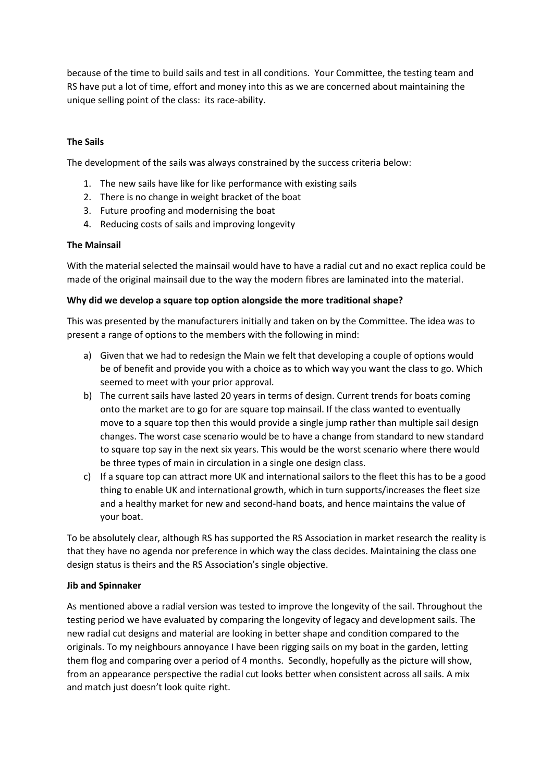because of the time to build sails and test in all conditions. Your Committee, the testing team and RS have put a lot of time, effort and money into this as we are concerned about maintaining the unique selling point of the class: its race-ability.

# **The Sails**

The development of the sails was always constrained by the success criteria below:

- 1. The new sails have like for like performance with existing sails
- 2. There is no change in weight bracket of the boat
- 3. Future proofing and modernising the boat
- 4. Reducing costs of sails and improving longevity

## **The Mainsail**

With the material selected the mainsail would have to have a radial cut and no exact replica could be made of the original mainsail due to the way the modern fibres are laminated into the material.

# **Why did we develop a square top option alongside the more traditional shape?**

This was presented by the manufacturers initially and taken on by the Committee. The idea was to present a range of options to the members with the following in mind:

- a) Given that we had to redesign the Main we felt that developing a couple of options would be of benefit and provide you with a choice as to which way you want the class to go. Which seemed to meet with your prior approval.
- b) The current sails have lasted 20 years in terms of design. Current trends for boats coming onto the market are to go for are square top mainsail. If the class wanted to eventually move to a square top then this would provide a single jump rather than multiple sail design changes. The worst case scenario would be to have a change from standard to new standard to square top say in the next six years. This would be the worst scenario where there would be three types of main in circulation in a single one design class.
- c) If a square top can attract more UK and international sailors to the fleet this has to be a good thing to enable UK and international growth, which in turn supports/increases the fleet size and a healthy market for new and second-hand boats, and hence maintains the value of your boat.

To be absolutely clear, although RS has supported the RS Association in market research the reality is that they have no agenda nor preference in which way the class decides. Maintaining the class one design status is theirs and the RS Association's single objective.

## **Jib and Spinnaker**

As mentioned above a radial version was tested to improve the longevity of the sail. Throughout the testing period we have evaluated by comparing the longevity of legacy and development sails. The new radial cut designs and material are looking in better shape and condition compared to the originals. To my neighbours annoyance I have been rigging sails on my boat in the garden, letting them flog and comparing over a period of 4 months. Secondly, hopefully as the picture will show, from an appearance perspective the radial cut looks better when consistent across all sails. A mix and match just doesn't look quite right.